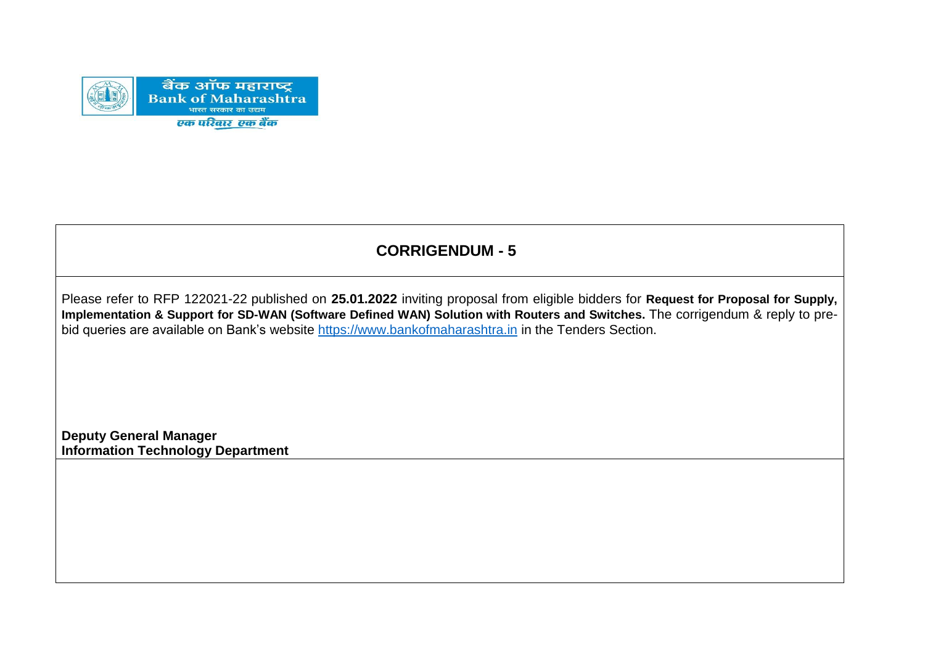

# **CORRIGENDUM - 5**

Please refer to RFP 122021-22 published on **25.01.2022** inviting proposal from eligible bidders for **Request for Proposal for Supply, Implementation & Support for SD-WAN (Software Defined WAN) Solution with Routers and Switches.** The corrigendum & reply to prebid queries are available on Bank's website [https://www.bankofmaharashtra.in](https://www.bankofmaharashtra.in/) in the Tenders Section.

**Deputy General Manager Information Technology Department**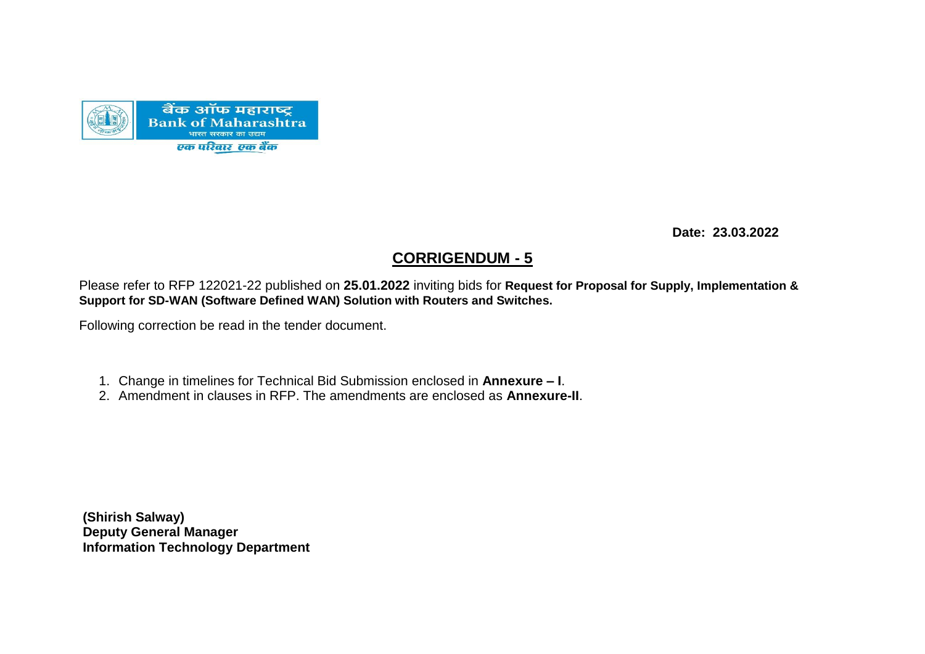

 **Date: 23.03.2022**

### **CORRIGENDUM - 5**

Please refer to RFP 122021-22 published on **25.01.2022** inviting bids for **Request for Proposal for Supply, Implementation & Support for SD-WAN (Software Defined WAN) Solution with Routers and Switches.**

Following correction be read in the tender document.

- 1. Change in timelines for Technical Bid Submission enclosed in **Annexure – I**.
- 2. Amendment in clauses in RFP. The amendments are enclosed as **Annexure-II**.

**(Shirish Salway) Deputy General Manager Information Technology Department**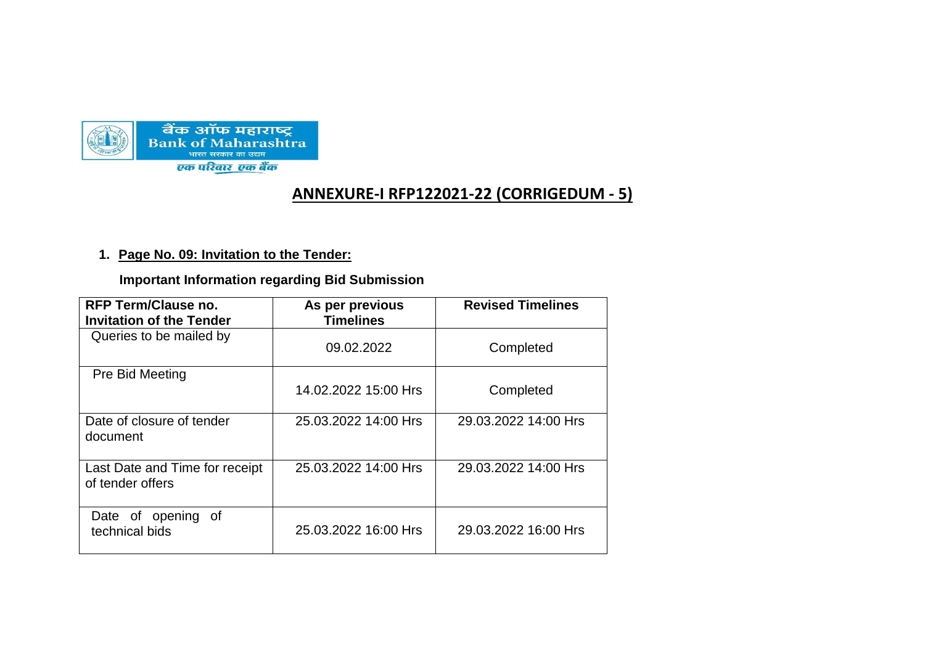

## **ANNEXURE-I RFP122021-22 (CORRIGEDUM - 5)**

#### **1. Page No. 09: Invitation to the Tender:**

 **Important Information regarding Bid Submission**

| <b>RFP Term/Clause no.</b><br><b>Invitation of the Tender</b> | As per previous<br><b>Timelines</b> | <b>Revised Timelines</b> |
|---------------------------------------------------------------|-------------------------------------|--------------------------|
| Queries to be mailed by                                       | 09.02.2022                          | Completed                |
| Pre Bid Meeting                                               | 14.02.2022 15:00 Hrs                | Completed                |
| Date of closure of tender<br>document                         | 25.03.2022 14:00 Hrs                | 29.03.2022 14:00 Hrs     |
| Last Date and Time for receipt<br>of tender offers            | 25.03.2022 14:00 Hrs                | 29.03.2022 14:00 Hrs     |
| Date of opening of<br>technical bids                          | 25.03.2022 16:00 Hrs                | 29.03.2022 16:00 Hrs     |